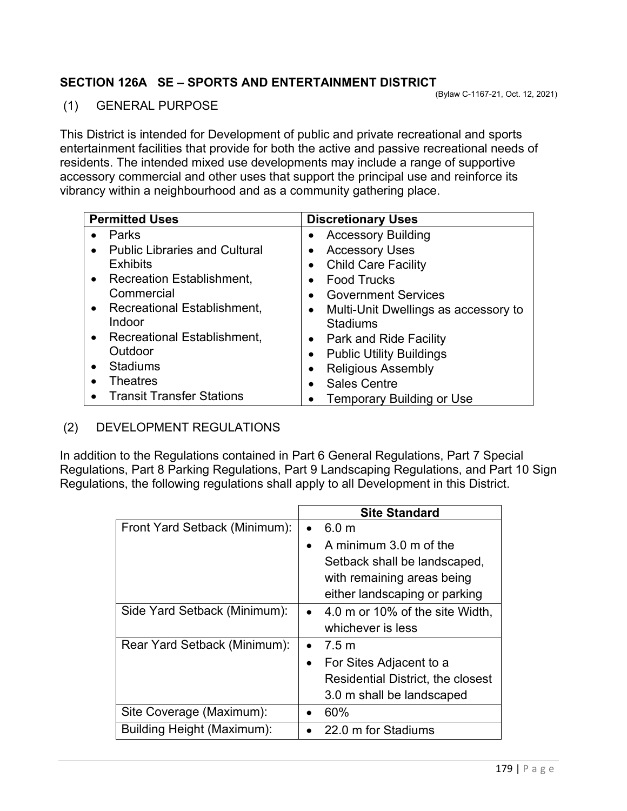## **SECTION 126A SE – SPORTS AND ENTERTAINMENT DISTRICT**

## (1) GENERAL PURPOSE

This District is intended for Development of public and private recreational and sports entertainment facilities that provide for both the active and passive recreational needs of residents. The intended mixed use developments may include a range of supportive accessory commercial and other uses that support the principal use and reinforce its vibrancy within a neighbourhood and as a community gathering place.

| <b>Permitted Uses</b>                             | <b>Discretionary Uses</b>                         |
|---------------------------------------------------|---------------------------------------------------|
| Parks                                             | <b>Accessory Building</b><br>٠                    |
| <b>Public Libraries and Cultural</b><br>$\bullet$ | <b>Accessory Uses</b><br>$\bullet$                |
| <b>Exhibits</b>                                   | <b>Child Care Facility</b><br>$\bullet$           |
| <b>Recreation Establishment,</b><br>$\bullet$     | <b>Food Trucks</b><br>$\bullet$                   |
| Commercial                                        | <b>Government Services</b><br>$\bullet$           |
| <b>Recreational Establishment,</b><br>$\bullet$   | Multi-Unit Dwellings as accessory to<br>$\bullet$ |
| Indoor                                            | <b>Stadiums</b>                                   |
| Recreational Establishment,<br>$\bullet$          | Park and Ride Facility<br>$\bullet$               |
| Outdoor                                           | <b>Public Utility Buildings</b><br>$\bullet$      |
| <b>Stadiums</b><br>$\bullet$                      | <b>Religious Assembly</b><br>$\bullet$            |
| <b>Theatres</b>                                   | <b>Sales Centre</b><br>$\bullet$                  |
| <b>Transit Transfer Stations</b>                  | <b>Temporary Building or Use</b>                  |

## (2) DEVELOPMENT REGULATIONS

In addition to the Regulations contained in Part 6 General Regulations, Part 7 Special Regulations, Part 8 Parking Regulations, Part 9 Landscaping Regulations, and Part 10 Sign Regulations, the following regulations shall apply to all Development in this District.

|                               | <b>Site Standard</b>                         |
|-------------------------------|----------------------------------------------|
| Front Yard Setback (Minimum): | 6.0 <sub>m</sub><br>$\bullet$                |
|                               | A minimum 3.0 m of the<br>$\bullet$          |
|                               | Setback shall be landscaped,                 |
|                               | with remaining areas being                   |
|                               | either landscaping or parking                |
| Side Yard Setback (Minimum):  | 4.0 m or 10% of the site Width,<br>$\bullet$ |
|                               | whichever is less                            |
| Rear Yard Setback (Minimum):  | 7.5 m<br>$\bullet$                           |
|                               | For Sites Adjacent to a<br>$\bullet$         |
|                               | <b>Residential District, the closest</b>     |
|                               | 3.0 m shall be landscaped                    |
| Site Coverage (Maximum):      | 60%                                          |
| Building Height (Maximum):    | 22.0 m for Stadiums                          |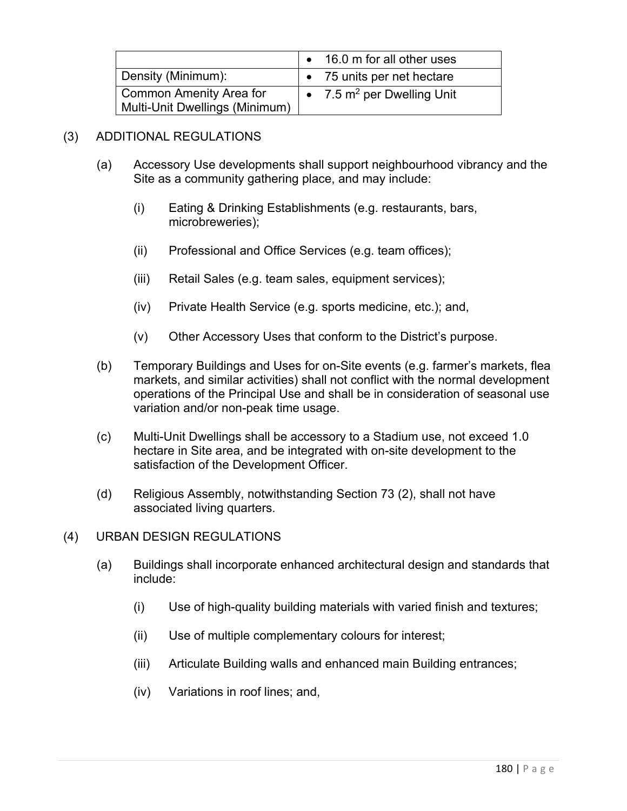|                                                                  | 16.0 m for all other uses            |
|------------------------------------------------------------------|--------------------------------------|
| Density (Minimum):                                               | • 75 units per net hectare           |
| <b>Common Amenity Area for</b><br>Multi-Unit Dwellings (Minimum) | 7.5 m <sup>2</sup> per Dwelling Unit |

## (3) ADDITIONAL REGULATIONS

- (a) Accessory Use developments shall support neighbourhood vibrancy and the Site as a community gathering place, and may include:
	- (i) Eating & Drinking Establishments (e.g. restaurants, bars, microbreweries);
	- (ii) Professional and Office Services (e.g. team offices);
	- (iii) Retail Sales (e.g. team sales, equipment services);
	- (iv) Private Health Service (e.g. sports medicine, etc.); and,
	- (v) Other Accessory Uses that conform to the District's purpose.
- (b) Temporary Buildings and Uses for on-Site events (e.g. farmer's markets, flea markets, and similar activities) shall not conflict with the normal development operations of the Principal Use and shall be in consideration of seasonal use variation and/or non-peak time usage.
- (c) Multi-Unit Dwellings shall be accessory to a Stadium use, not exceed 1.0 hectare in Site area, and be integrated with on-site development to the satisfaction of the Development Officer.
- (d) Religious Assembly, notwithstanding Section 73 (2), shall not have associated living quarters.
- (4) URBAN DESIGN REGULATIONS
	- (a) Buildings shall incorporate enhanced architectural design and standards that include:
		- (i) Use of high-quality building materials with varied finish and textures;
		- (ii) Use of multiple complementary colours for interest;
		- (iii) Articulate Building walls and enhanced main Building entrances;
		- (iv) Variations in roof lines; and,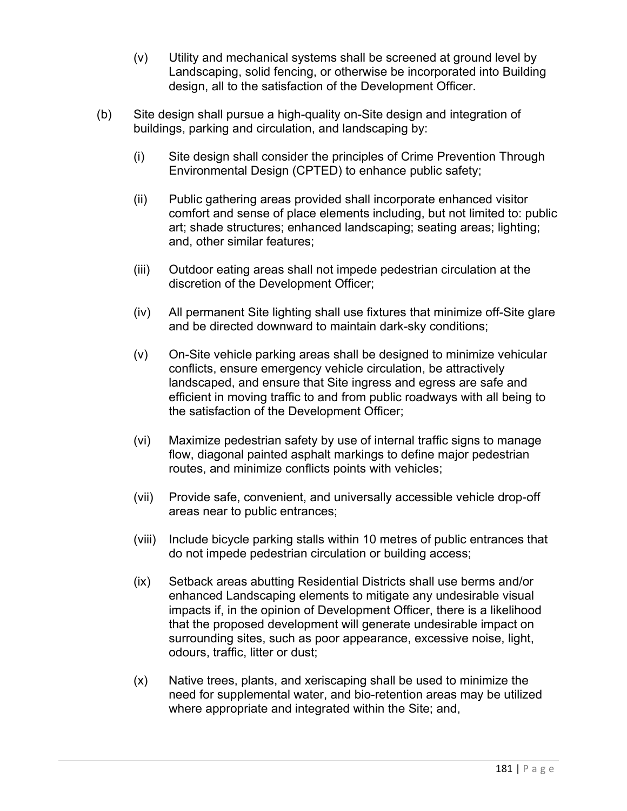- (v) Utility and mechanical systems shall be screened at ground level by Landscaping, solid fencing, or otherwise be incorporated into Building design, all to the satisfaction of the Development Officer.
- (b) Site design shall pursue a high-quality on-Site design and integration of buildings, parking and circulation, and landscaping by:
	- (i) Site design shall consider the principles of Crime Prevention Through Environmental Design (CPTED) to enhance public safety;
	- (ii) Public gathering areas provided shall incorporate enhanced visitor comfort and sense of place elements including, but not limited to: public art; shade structures; enhanced landscaping; seating areas; lighting; and, other similar features;
	- (iii) Outdoor eating areas shall not impede pedestrian circulation at the discretion of the Development Officer;
	- (iv) All permanent Site lighting shall use fixtures that minimize off-Site glare and be directed downward to maintain dark-sky conditions;
	- (v) On-Site vehicle parking areas shall be designed to minimize vehicular conflicts, ensure emergency vehicle circulation, be attractively landscaped, and ensure that Site ingress and egress are safe and efficient in moving traffic to and from public roadways with all being to the satisfaction of the Development Officer;
	- (vi) Maximize pedestrian safety by use of internal traffic signs to manage flow, diagonal painted asphalt markings to define major pedestrian routes, and minimize conflicts points with vehicles;
	- (vii) Provide safe, convenient, and universally accessible vehicle drop-off areas near to public entrances;
	- (viii) Include bicycle parking stalls within 10 metres of public entrances that do not impede pedestrian circulation or building access;
	- (ix) Setback areas abutting Residential Districts shall use berms and/or enhanced Landscaping elements to mitigate any undesirable visual impacts if, in the opinion of Development Officer, there is a likelihood that the proposed development will generate undesirable impact on surrounding sites, such as poor appearance, excessive noise, light, odours, traffic, litter or dust;
	- (x) Native trees, plants, and xeriscaping shall be used to minimize the need for supplemental water, and bio-retention areas may be utilized where appropriate and integrated within the Site; and,